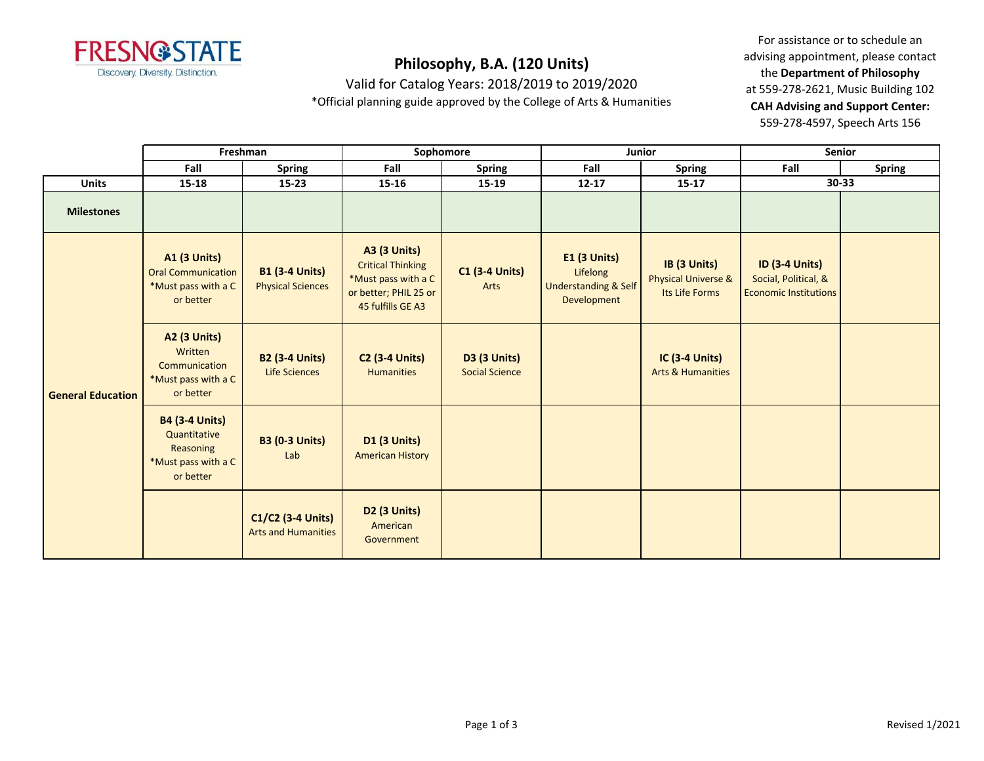

Valid for Catalog Years: 2018/2019 to 2019/2020

\*Official planning guide approved by the College of Arts & Humanities

For assistance or to schedule an advising appointment, please contact the **Department of Philosophy** at 559-278-2621, Music Building 102 **CAH Advising and Support Center:**  559-278-4597, Speech Arts 156

|                          |                                                                                        | Freshman<br>Sophomore<br>Junior                   |                                                                                                                      | Senior                                       |                                                                              |                                                       |                                                                               |               |
|--------------------------|----------------------------------------------------------------------------------------|---------------------------------------------------|----------------------------------------------------------------------------------------------------------------------|----------------------------------------------|------------------------------------------------------------------------------|-------------------------------------------------------|-------------------------------------------------------------------------------|---------------|
|                          | Fall                                                                                   | <b>Spring</b>                                     | Fall                                                                                                                 | <b>Spring</b>                                | Fall                                                                         | Spring                                                | Fall                                                                          | <b>Spring</b> |
| <b>Units</b>             | 15-18                                                                                  | $15 - 23$                                         | 15-16                                                                                                                | 15-19                                        | $12 - 17$                                                                    | $15 - 17$                                             | 30-33                                                                         |               |
| <b>Milestones</b>        |                                                                                        |                                                   |                                                                                                                      |                                              |                                                                              |                                                       |                                                                               |               |
| <b>General Education</b> | <b>A1 (3 Units)</b><br><b>Oral Communication</b><br>*Must pass with a C<br>or better   | <b>B1 (3-4 Units)</b><br><b>Physical Sciences</b> | <b>A3 (3 Units)</b><br><b>Critical Thinking</b><br>*Must pass with a C<br>or better; PHIL 25 or<br>45 fulfills GE A3 | <b>C1 (3-4 Units)</b><br>Arts                | $E1$ (3 Units)<br>Lifelong<br><b>Understanding &amp; Self</b><br>Development | IB (3 Units)<br>Physical Universe &<br>Its Life Forms | <b>ID (3-4 Units)</b><br>Social, Political, &<br><b>Economic Institutions</b> |               |
|                          | <b>A2 (3 Units)</b><br>Written<br>Communication<br>*Must pass with a C<br>or better    | <b>B2 (3-4 Units)</b><br><b>Life Sciences</b>     | <b>C2 (3-4 Units)</b><br>Humanities                                                                                  | <b>D3 (3 Units)</b><br><b>Social Science</b> |                                                                              | <b>IC (3-4 Units)</b><br><b>Arts &amp; Humanities</b> |                                                                               |               |
|                          | <b>B4 (3-4 Units)</b><br>Quantitative<br>Reasoning<br>*Must pass with a C<br>or better | <b>B3 (0-3 Units)</b><br>Lab                      | <b>D1 (3 Units)</b><br><b>American History</b>                                                                       |                                              |                                                                              |                                                       |                                                                               |               |
|                          |                                                                                        | C1/C2 (3-4 Units)<br><b>Arts and Humanities</b>   | <b>D2 (3 Units)</b><br>American<br>Government                                                                        |                                              |                                                                              |                                                       |                                                                               |               |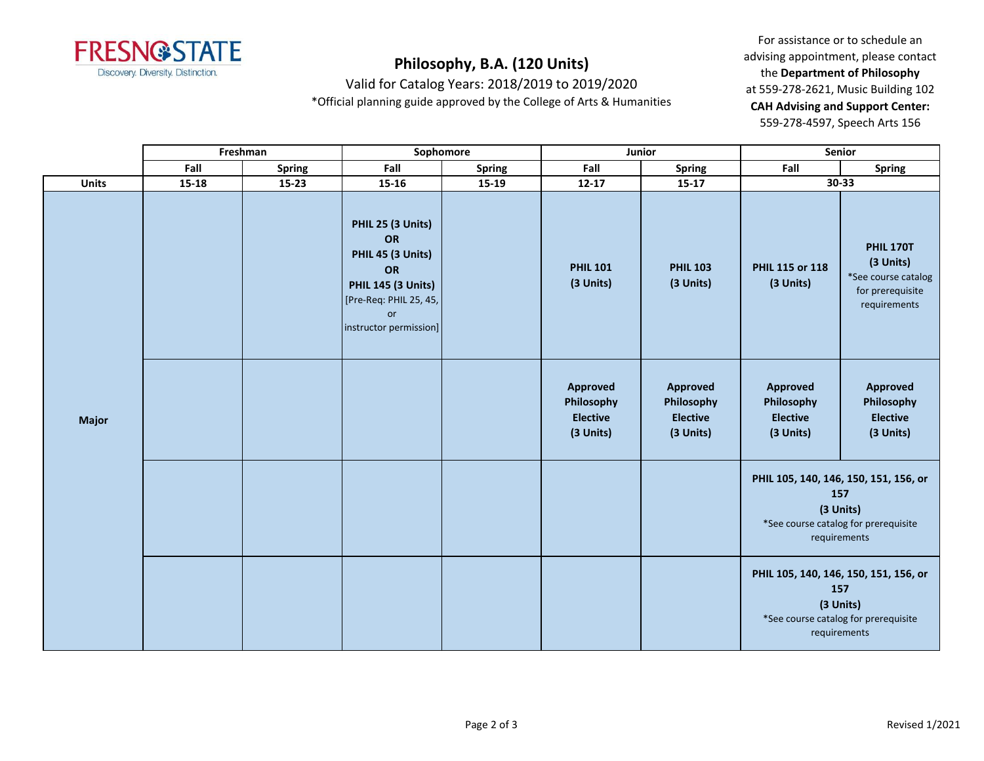

Valid for Catalog Years: 2018/2019 to 2019/2020

\*Official planning guide approved by the College of Arts & Humanities

For assistance or to schedule an advising appointment, please contact the **Department of Philosophy** at 559-278-2621, Music Building 102 **CAH Advising and Support Center:**  559-278-4597, Speech Arts 156

|              |           | Freshman      |                                                                                                                                           | Sophomore     | Junior                                                 |                                                        | Senior                                                 |                                                                                                      |
|--------------|-----------|---------------|-------------------------------------------------------------------------------------------------------------------------------------------|---------------|--------------------------------------------------------|--------------------------------------------------------|--------------------------------------------------------|------------------------------------------------------------------------------------------------------|
|              | Fall      | <b>Spring</b> | Fall                                                                                                                                      | <b>Spring</b> | Fall                                                   | Spring                                                 | Fall                                                   | <b>Spring</b>                                                                                        |
| <b>Units</b> | $15 - 18$ | 15-23         | 15-16                                                                                                                                     | 15-19         | $12 - 17$                                              | $15 - 17$                                              |                                                        | $30 - 33$                                                                                            |
|              |           |               | PHIL 25 (3 Units)<br>OR<br>PHIL 45 (3 Units)<br>OR<br><b>PHIL 145 (3 Units)</b><br>[Pre-Req: PHIL 25, 45,<br>or<br>instructor permission] |               | <b>PHIL 101</b><br>(3 Units)                           | <b>PHIL 103</b><br>(3 Units)                           | PHIL 115 or 118<br>(3 Units)                           | <b>PHIL 170T</b><br>(3 Units)<br>*See course catalog<br>for prerequisite<br>requirements             |
| Major        |           |               |                                                                                                                                           |               | Approved<br>Philosophy<br><b>Elective</b><br>(3 Units) | Approved<br>Philosophy<br><b>Elective</b><br>(3 Units) | Approved<br>Philosophy<br><b>Elective</b><br>(3 Units) | Approved<br>Philosophy<br><b>Elective</b><br>(3 Units)                                               |
|              |           |               |                                                                                                                                           |               |                                                        |                                                        | 157<br>(3 Units)                                       | PHIL 105, 140, 146, 150, 151, 156, or<br>*See course catalog for prerequisite<br>requirements        |
|              |           |               |                                                                                                                                           |               |                                                        |                                                        | (3 Units)                                              | PHIL 105, 140, 146, 150, 151, 156, or<br>157<br>*See course catalog for prerequisite<br>requirements |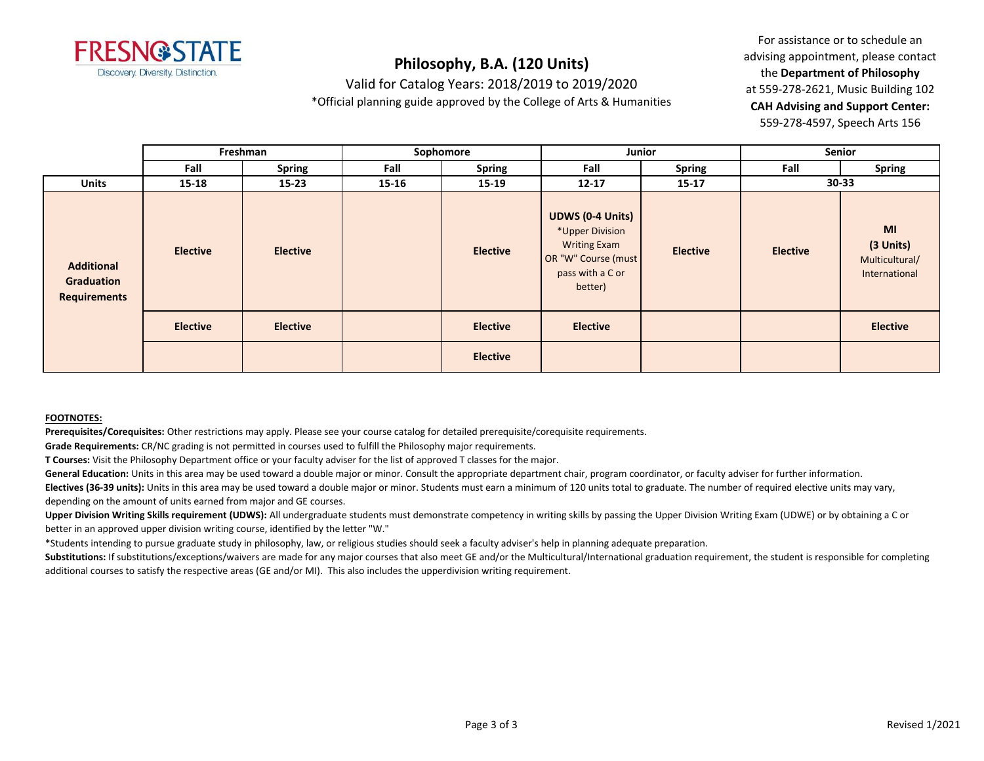

Valid for Catalog Years: 2018/2019 to 2019/2020

\*Official planning guide approved by the College of Arts & Humanities

For assistance or to schedule an advising appointment, please contact the **Department of Philosophy** at 559-278-2621, Music Building 102 **CAH Advising and Support Center:**  559-278-4597, Speech Arts 156

|                                                        |                 | Freshman        | Sophomore |                 | Junior                                                                                                                  |                 | <b>Senior</b>   |                                                    |  |
|--------------------------------------------------------|-----------------|-----------------|-----------|-----------------|-------------------------------------------------------------------------------------------------------------------------|-----------------|-----------------|----------------------------------------------------|--|
|                                                        | Fall            | <b>Spring</b>   | Fall      | <b>Spring</b>   | Fall                                                                                                                    | <b>Spring</b>   | Fall            | <b>Spring</b>                                      |  |
| <b>Units</b>                                           | $15 - 18$       | $15 - 23$       | 15-16     | 15-19           | $12 - 17$                                                                                                               | $15 - 17$       | 30-33           |                                                    |  |
| <b>Additional</b><br>Graduation<br><b>Requirements</b> | <b>Elective</b> | <b>Elective</b> |           | <b>Elective</b> | <b>UDWS (0-4 Units)</b><br>*Upper Division<br><b>Writing Exam</b><br>OR "W" Course (must<br>pass with a C or<br>better) | <b>Elective</b> | <b>Elective</b> | MI<br>(3 Units)<br>Multicultural/<br>International |  |
|                                                        | <b>Elective</b> | <b>Elective</b> |           | <b>Elective</b> | <b>Elective</b>                                                                                                         |                 |                 | <b>Elective</b>                                    |  |
|                                                        |                 |                 |           | <b>Elective</b> |                                                                                                                         |                 |                 |                                                    |  |

### **FOOTNOTES:**

**Prerequisites/Corequisites:** Other restrictions may apply. Please see your course catalog for detailed prerequisite/corequisite requirements.

**Grade Requirements:** CR/NC grading is not permitted in courses used to fulfill the Philosophy major requirements.

**T Courses:** Visit the Philosophy Department office or your faculty adviser for the list of approved T classes for the major.

General Education: Units in this area may be used toward a double major or minor. Consult the appropriate department chair, program coordinator, or faculty adviser for further information.

**Electives (36-39 units):** Units in this area may be used toward a double major or minor. Students must earn a minimum of 120 units total to graduate. The number of required elective units may vary, depending on the amount of units earned from major and GE courses.

**Upper Division Writing Skills requirement (UDWS):** All undergraduate students must demonstrate competency in writing skills by passing the Upper Division Writing Exam (UDWE) or by obtaining a C or better in an approved upper division writing course, identified by the letter "W."

\*Students intending to pursue graduate study in philosophy, law, or religious studies should seek a faculty adviser's help in planning adequate preparation.

Substitutions: If substitutions/exceptions/waivers are made for any major courses that also meet GE and/or the Multicultural/International graduation requirement, the student is responsible for completing additional courses to satisfy the respective areas (GE and/or MI). This also includes the upperdivision writing requirement.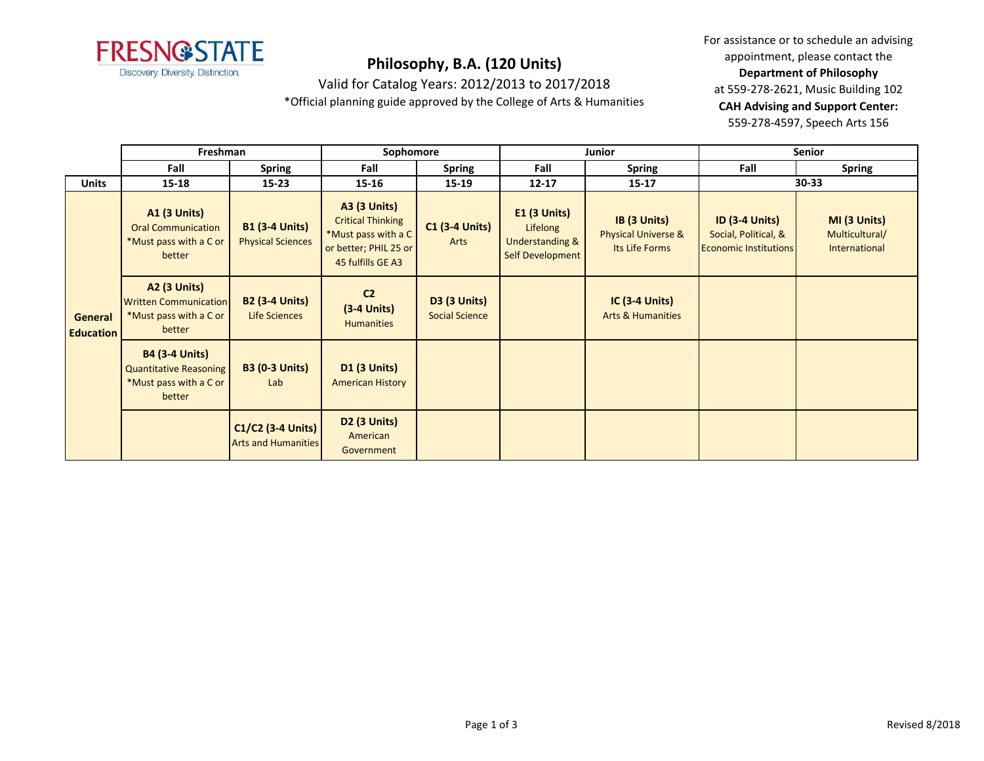

Valid for Catalog Years: 2012/2013 to 2017/2018

\*Official planning guide approved by the College of Arts & Humanities

For assistance or to schedule an advising appointment, please contact the **Department of Philosophy** at 559-278-2621, Music Building 102 **CAH Advising and Support Center:**  559-278-4597, Speech Arts 156

|                             | Freshman                                                                                   |                                                   | Sophomore                                                                                                            |                                              |                                                                              | Junior                                                           | <b>Senior</b>                                                                 |                                                 |
|-----------------------------|--------------------------------------------------------------------------------------------|---------------------------------------------------|----------------------------------------------------------------------------------------------------------------------|----------------------------------------------|------------------------------------------------------------------------------|------------------------------------------------------------------|-------------------------------------------------------------------------------|-------------------------------------------------|
|                             | Fall                                                                                       | <b>Spring</b>                                     | Fall                                                                                                                 | <b>Spring</b>                                | Fall                                                                         | <b>Spring</b>                                                    | Fall                                                                          | <b>Spring</b>                                   |
| <b>Units</b>                | 15-18                                                                                      | $15 - 23$                                         | 15-16                                                                                                                | 15-19                                        | $12 - 17$                                                                    | $15 - 17$                                                        | $30 - 33$                                                                     |                                                 |
| General<br><b>Education</b> | <b>A1 (3 Units)</b><br><b>Oral Communication</b><br>*Must pass with a C or<br>better       | <b>B1 (3-4 Units)</b><br><b>Physical Sciences</b> | <b>A3 (3 Units)</b><br><b>Critical Thinking</b><br>*Must pass with a C<br>or better; PHIL 25 or<br>45 fulfills GE A3 | <b>C1 (3-4 Units)</b><br>Arts                | $E1$ (3 Units)<br>Lifelong<br><b>Understanding &amp;</b><br>Self Development | IB (3 Units)<br><b>Physical Universe &amp;</b><br>Its Life Forms | <b>ID (3-4 Units)</b><br>Social, Political, &<br><b>Economic Institutions</b> | MI (3 Units)<br>Multicultural/<br>International |
|                             | <b>A2 (3 Units)</b><br><b>Written Communication</b><br>*Must pass with a C or<br>better    | <b>B2 (3-4 Units)</b><br>Life Sciences            | C <sub>2</sub><br>$(3-4$ Units)<br><b>Humanities</b>                                                                 | <b>D3 (3 Units)</b><br><b>Social Science</b> |                                                                              | <b>IC (3-4 Units)</b><br><b>Arts &amp; Humanities</b>            |                                                                               |                                                 |
|                             | <b>B4 (3-4 Units)</b><br><b>Quantitative Reasoning</b><br>*Must pass with a C or<br>better | <b>B3 (0-3 Units)</b><br>Lab                      | <b>D1 (3 Units)</b><br><b>American History</b>                                                                       |                                              |                                                                              |                                                                  |                                                                               |                                                 |
|                             |                                                                                            | C1/C2 (3-4 Units)<br><b>Arts and Humanities</b>   | <b>D2 (3 Units)</b><br>American<br>Government                                                                        |                                              |                                                                              |                                                                  |                                                                               |                                                 |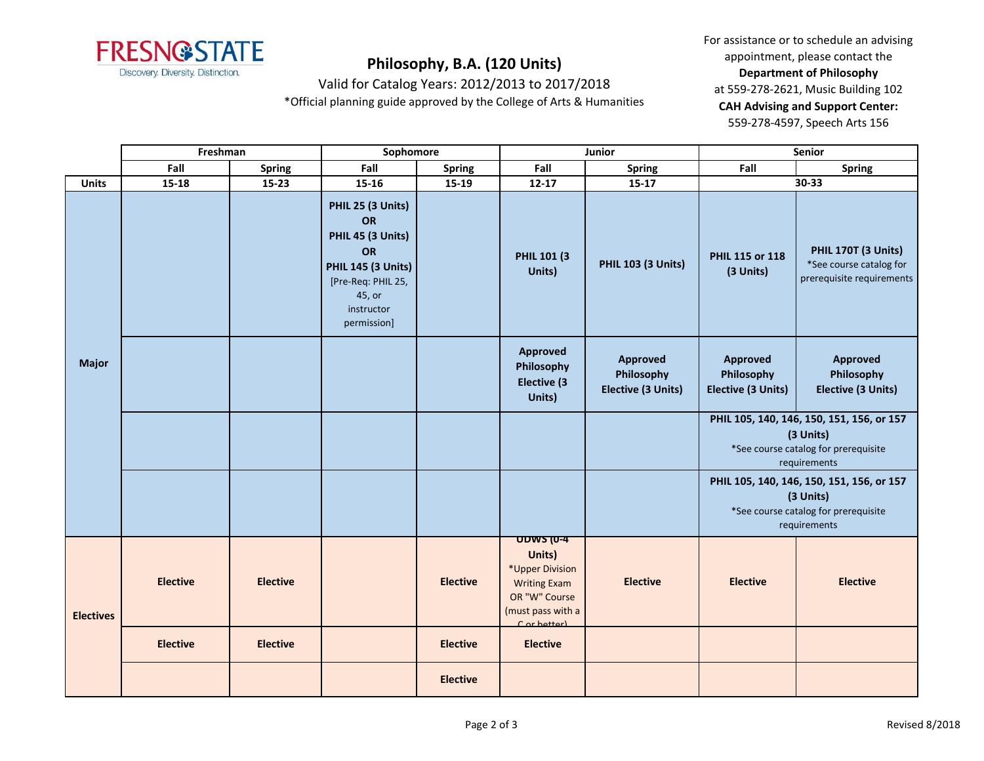

For assistance or to schedule an advising appointment, please contact the **Department of Philosophy** at 559-278-2621, Music Building 102 **CAH Advising and Support Center:**  559-278-4597, Speech Arts 156

Valid for Catalog Years: 2012/2013 to 2017/2018

\*Official planning guide approved by the College of Arts & Humanities

|                  | Freshman        |                 | Sophomore                                                                                                                                    |                 | Junior                                                                                                                    |                                              | Senior                                              |                                                                                                                |
|------------------|-----------------|-----------------|----------------------------------------------------------------------------------------------------------------------------------------------|-----------------|---------------------------------------------------------------------------------------------------------------------------|----------------------------------------------|-----------------------------------------------------|----------------------------------------------------------------------------------------------------------------|
|                  | Fall            | Spring          | Fall                                                                                                                                         | <b>Spring</b>   | Fall                                                                                                                      | Spring                                       | Fall                                                | <b>Spring</b>                                                                                                  |
| <b>Units</b>     | $15 - 18$       | $15 - 23$       | 15-16                                                                                                                                        | 15-19           | $12 - 17$                                                                                                                 | 15-17                                        |                                                     | 30-33                                                                                                          |
|                  |                 |                 | PHIL 25 (3 Units)<br>OR<br>PHIL 45 (3 Units)<br>OR<br><b>PHIL 145 (3 Units)</b><br>[Pre-Req: PHIL 25,<br>45, or<br>instructor<br>permission] |                 | <b>PHIL 101 (3)</b><br>Units)                                                                                             | <b>PHIL 103 (3 Units)</b>                    | PHIL 115 or 118<br>(3 Units)                        | PHIL 170T (3 Units)<br>*See course catalog for<br>prerequisite requirements                                    |
| <b>Major</b>     |                 |                 |                                                                                                                                              |                 | Approved<br>Philosophy<br>Elective (3<br>Units)                                                                           | Approved<br>Philosophy<br>Elective (3 Units) | Approved<br>Philosophy<br><b>Elective (3 Units)</b> | <b>Approved</b><br>Philosophy<br>Elective (3 Units)                                                            |
|                  |                 |                 |                                                                                                                                              |                 |                                                                                                                           |                                              |                                                     | PHIL 105, 140, 146, 150, 151, 156, or 157<br>(3 Units)<br>*See course catalog for prerequisite<br>requirements |
|                  |                 |                 |                                                                                                                                              |                 |                                                                                                                           |                                              |                                                     | PHIL 105, 140, 146, 150, 151, 156, or 157<br>(3 Units)<br>*See course catalog for prerequisite<br>requirements |
| <b>Electives</b> | <b>Elective</b> | <b>Elective</b> |                                                                                                                                              | <b>Elective</b> | <b>UDWS (0-4</b><br>Units)<br>*Upper Division<br><b>Writing Exam</b><br>OR "W" Course<br>(must pass with a<br>Cor hetter) | <b>Elective</b>                              | <b>Elective</b>                                     | <b>Elective</b>                                                                                                |
|                  | <b>Elective</b> | <b>Elective</b> |                                                                                                                                              | <b>Elective</b> | <b>Elective</b>                                                                                                           |                                              |                                                     |                                                                                                                |
|                  |                 |                 |                                                                                                                                              | <b>Elective</b> |                                                                                                                           |                                              |                                                     |                                                                                                                |